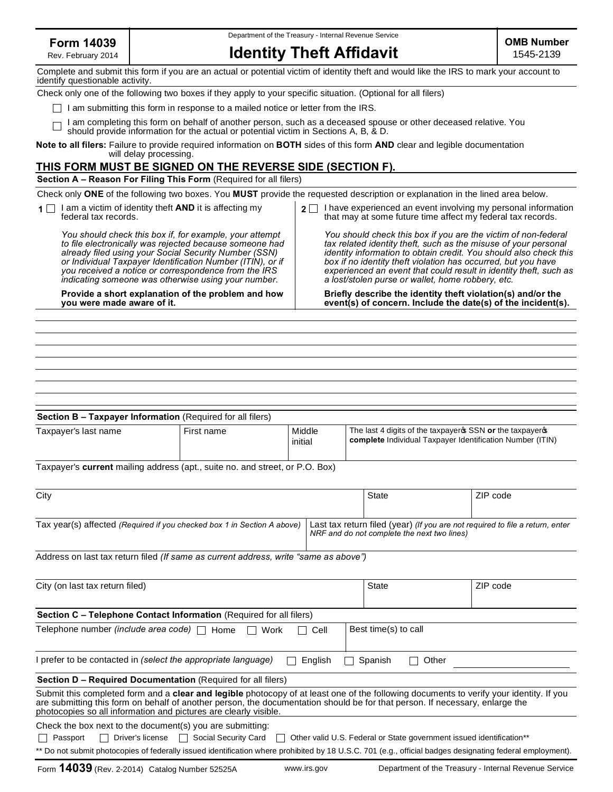Rev. February 2014

Department of the Treasury - Internal Revenue Service

| Form 14039         |                                 |
|--------------------|---------------------------------|
| Rev. February 2014 | <b>Identity Theft Affidavit</b> |
|                    |                                 |

| Complete and submit this form if you are an actual or potential victim of identity theft and would like the IRS to mark your account to<br>identify questionable activity.                                                                                                                                                                               |              |                                                                                                                                                                                                                                                                                                                                                                                                   |                                                                                                                                       |                                             |                                                                               |  |
|----------------------------------------------------------------------------------------------------------------------------------------------------------------------------------------------------------------------------------------------------------------------------------------------------------------------------------------------------------|--------------|---------------------------------------------------------------------------------------------------------------------------------------------------------------------------------------------------------------------------------------------------------------------------------------------------------------------------------------------------------------------------------------------------|---------------------------------------------------------------------------------------------------------------------------------------|---------------------------------------------|-------------------------------------------------------------------------------|--|
| Check only one of the following two boxes if they apply to your specific situation. (Optional for all filers)                                                                                                                                                                                                                                            |              |                                                                                                                                                                                                                                                                                                                                                                                                   |                                                                                                                                       |                                             |                                                                               |  |
| I am submitting this form in response to a mailed notice or letter from the IRS.                                                                                                                                                                                                                                                                         |              |                                                                                                                                                                                                                                                                                                                                                                                                   |                                                                                                                                       |                                             |                                                                               |  |
| I am completing this form on behalf of another person, such as a deceased spouse or other deceased relative. You<br>should provide information for the actual or potential victim in Sections A, B, & D.                                                                                                                                                 |              |                                                                                                                                                                                                                                                                                                                                                                                                   |                                                                                                                                       |                                             |                                                                               |  |
| Note to all filers: Failure to provide required information on BOTH sides of this form AND clear and legible documentation<br>will delay processing.                                                                                                                                                                                                     |              |                                                                                                                                                                                                                                                                                                                                                                                                   |                                                                                                                                       |                                             |                                                                               |  |
| THIS FORM MUST BE SIGNED ON THE REVERSE SIDE (SECTION F).                                                                                                                                                                                                                                                                                                |              |                                                                                                                                                                                                                                                                                                                                                                                                   |                                                                                                                                       |                                             |                                                                               |  |
| Section A - Reason For Filing This Form (Required for all filers)                                                                                                                                                                                                                                                                                        |              |                                                                                                                                                                                                                                                                                                                                                                                                   |                                                                                                                                       |                                             |                                                                               |  |
| Check only ONE of the following two boxes. You MUST provide the requested description or explanation in the lined area below.                                                                                                                                                                                                                            |              |                                                                                                                                                                                                                                                                                                                                                                                                   |                                                                                                                                       |                                             |                                                                               |  |
| I am a victim of identity theft <b>AND</b> it is affecting my<br>federal tax records.                                                                                                                                                                                                                                                                    |              |                                                                                                                                                                                                                                                                                                                                                                                                   | $2 \Box$ I have experienced an event involving my personal information<br>that may at some future time affect my federal tax records. |                                             |                                                                               |  |
| You should check this box if, for example, your attempt<br>to file electronically was rejected because someone had<br>already filed using your Social Security Number (SSN)<br>or Individual Taxpayer Identification Number (ITIN), or if<br>you received a notice or correspondence from the IRS<br>indicating someone was otherwise using your number. |              | You should check this box if you are the victim of non-federal<br>tax related identity theft, such as the misuse of your personal<br>identity information to obtain credit. You should also check this<br>box if no identity theft violation has occurred, but you have<br>experienced an event that could result in identity theft, such as<br>a lost/stolen purse or wallet, home robbery, etc. |                                                                                                                                       |                                             |                                                                               |  |
| Provide a short explanation of the problem and how<br>you were made aware of it.                                                                                                                                                                                                                                                                         |              |                                                                                                                                                                                                                                                                                                                                                                                                   | Briefly describe the identity theft violation(s) and/or the<br>event(s) of concern. Include the date(s) of the incident(s).           |                                             |                                                                               |  |
|                                                                                                                                                                                                                                                                                                                                                          |              |                                                                                                                                                                                                                                                                                                                                                                                                   |                                                                                                                                       |                                             |                                                                               |  |
|                                                                                                                                                                                                                                                                                                                                                          |              |                                                                                                                                                                                                                                                                                                                                                                                                   |                                                                                                                                       |                                             |                                                                               |  |
|                                                                                                                                                                                                                                                                                                                                                          |              |                                                                                                                                                                                                                                                                                                                                                                                                   |                                                                                                                                       |                                             |                                                                               |  |
|                                                                                                                                                                                                                                                                                                                                                          |              |                                                                                                                                                                                                                                                                                                                                                                                                   |                                                                                                                                       |                                             |                                                                               |  |
|                                                                                                                                                                                                                                                                                                                                                          |              |                                                                                                                                                                                                                                                                                                                                                                                                   |                                                                                                                                       |                                             |                                                                               |  |
|                                                                                                                                                                                                                                                                                                                                                          |              |                                                                                                                                                                                                                                                                                                                                                                                                   |                                                                                                                                       |                                             |                                                                               |  |
| Section B - Taxpayer Information (Required for all filers)                                                                                                                                                                                                                                                                                               |              |                                                                                                                                                                                                                                                                                                                                                                                                   |                                                                                                                                       |                                             |                                                                               |  |
| Taxpayer's last name                                                                                                                                                                                                                                                                                                                                     | First name   | Middle                                                                                                                                                                                                                                                                                                                                                                                            |                                                                                                                                       |                                             | The last 4 digits of the taxpayer \$SSN or the taxpayer \$                    |  |
|                                                                                                                                                                                                                                                                                                                                                          |              | initial                                                                                                                                                                                                                                                                                                                                                                                           |                                                                                                                                       |                                             | complete Individual Taxpayer Identification Number (ITIN)                     |  |
|                                                                                                                                                                                                                                                                                                                                                          |              |                                                                                                                                                                                                                                                                                                                                                                                                   |                                                                                                                                       |                                             |                                                                               |  |
| Taxpayer's current mailing address (apt., suite no. and street, or P.O. Box)                                                                                                                                                                                                                                                                             |              |                                                                                                                                                                                                                                                                                                                                                                                                   |                                                                                                                                       |                                             |                                                                               |  |
|                                                                                                                                                                                                                                                                                                                                                          |              |                                                                                                                                                                                                                                                                                                                                                                                                   |                                                                                                                                       |                                             |                                                                               |  |
| City                                                                                                                                                                                                                                                                                                                                                     |              |                                                                                                                                                                                                                                                                                                                                                                                                   | <b>State</b>                                                                                                                          |                                             | ZIP code                                                                      |  |
| Tax year(s) affected (Required if you checked box 1 in Section A above)                                                                                                                                                                                                                                                                                  |              |                                                                                                                                                                                                                                                                                                                                                                                                   |                                                                                                                                       | NRF and do not complete the next two lines) | Last tax return filed (year) (If you are not required to file a return, enter |  |
| Address on last tax return filed (If same as current address, write "same as above")                                                                                                                                                                                                                                                                     |              |                                                                                                                                                                                                                                                                                                                                                                                                   |                                                                                                                                       |                                             |                                                                               |  |
| City (on last tax return filed)                                                                                                                                                                                                                                                                                                                          |              |                                                                                                                                                                                                                                                                                                                                                                                                   | State                                                                                                                                 |                                             | ZIP code                                                                      |  |
|                                                                                                                                                                                                                                                                                                                                                          |              |                                                                                                                                                                                                                                                                                                                                                                                                   |                                                                                                                                       |                                             |                                                                               |  |
| Section C - Telephone Contact Information (Required for all filers)                                                                                                                                                                                                                                                                                      |              |                                                                                                                                                                                                                                                                                                                                                                                                   |                                                                                                                                       |                                             |                                                                               |  |
| Telephone number (include area code)                                                                                                                                                                                                                                                                                                                     | Home<br>Work | Cell                                                                                                                                                                                                                                                                                                                                                                                              | Best time(s) to call                                                                                                                  |                                             |                                                                               |  |
| I prefer to be contacted in (select the appropriate language)                                                                                                                                                                                                                                                                                            |              | English                                                                                                                                                                                                                                                                                                                                                                                           | Spanish<br>$\mathsf{L}$                                                                                                               | Other                                       |                                                                               |  |
| Section D - Required Documentation (Required for all filers)                                                                                                                                                                                                                                                                                             |              |                                                                                                                                                                                                                                                                                                                                                                                                   |                                                                                                                                       |                                             |                                                                               |  |
|                                                                                                                                                                                                                                                                                                                                                          |              |                                                                                                                                                                                                                                                                                                                                                                                                   |                                                                                                                                       |                                             |                                                                               |  |

Submit this completed form and a **clear and legible** photocopy of at least one of the following documents to verify your identity. If you are submitting this form on behalf of another person, the documentation should be for that person. If necessary, enlarge the photocopies so all information and pictures are clearly visible.

Check the box next to the document(s) you are submitting:

Passport Driver's license Social Security Card Cher valid U.S. Federal or State government issued identification\*\*